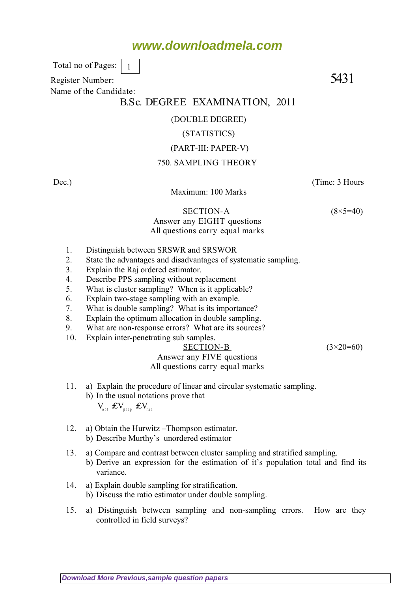# **www.downloadmela.com**

 Total no of Pages: 1

Register Number: 5431 Name of the Candidate:

## B.Sc. DEGREE EXAMINATION, 2011

### (DOUBLE DEGREE)

#### (STATISTICS)

### (PART-III: PAPER-V)

### 750. SAMPLING THEORY

Dec.) (Time: 3 Hours Maximum: 100 Marks SECTION-A  $(8\times5=40)$ Answer any EIGHT questions All questions carry equal marks 1. Distinguish between SRSWR and SRSWOR 2. State the advantages and disadvantages of systematic sampling. 3. Explain the Raj ordered estimator. 4. Describe PPS sampling without replacement 5. What is cluster sampling? When is it applicable? 6. Explain two-stage sampling with an example. 7. What is double sampling? What is its importance? 8. Explain the optimum allocation in double sampling. 9. What are non-response errors? What are its sources? 10. Explain inter-penetrating sub samples. SECTION-B  $(3\times20=60)$ Answer any FIVE questions All questions carry equal marks

- 11. a) Explain the procedure of linear and circular systematic sampling. b) In the usual notations prove that
	- $V_{\text{out}}$   $\pounds V_{\text{mean}}$   $\pounds V_{\text{mean}}$
- 12. a) Obtain the Hurwitz –Thompson estimator. b) Describe Murthy's unordered estimator
- 13. a) Compare and contrast between cluster sampling and stratified sampling.
	- b) Derive an expression for the estimation of it's population total and find its variance.
- 14. a) Explain double sampling for stratification.
	- b) Discuss the ratio estimator under double sampling.
- 15. a) Distinguish between sampling and non-sampling errors. How are they controlled in field surveys?

**[Download More Previous,sample question papers](http://downloadmela.com/pages/previouspapers/previouspapers.html)**